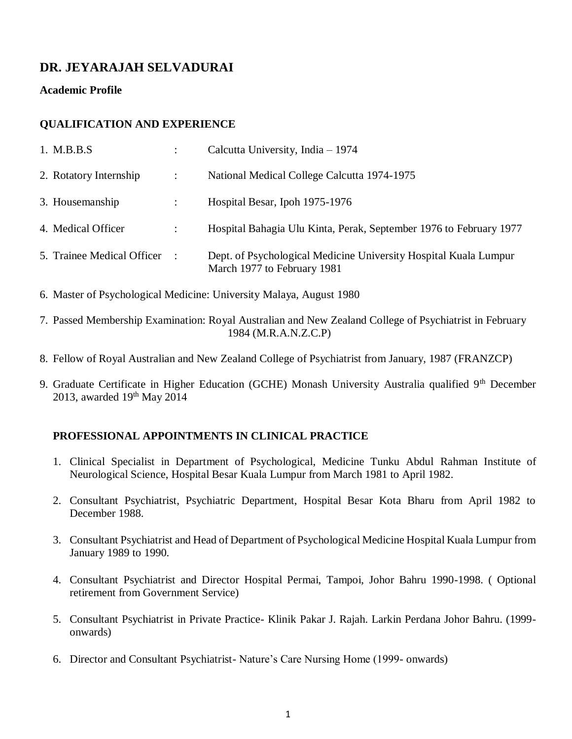# **DR. JEYARAJAH SELVADURAI**

**Academic Profile**

## **QUALIFICATION AND EXPERIENCE**

| 1. M.B.B.S                 |                        | Calcutta University, India - 1974                                                               |
|----------------------------|------------------------|-------------------------------------------------------------------------------------------------|
| 2. Rotatory Internship     | $\ddot{\phantom{1}}$ : | National Medical College Calcutta 1974-1975                                                     |
| 3. Housemanship            |                        | Hospital Besar, Ipoh 1975-1976                                                                  |
| 4. Medical Officer         | ÷                      | Hospital Bahagia Ulu Kinta, Perak, September 1976 to February 1977                              |
| 5. Trainee Medical Officer |                        | Dept. of Psychological Medicine University Hospital Kuala Lumpur<br>March 1977 to February 1981 |

- 6. Master of Psychological Medicine: University Malaya, August 1980
- 7. Passed Membership Examination: Royal Australian and New Zealand College of Psychiatrist in February 1984 (M.R.A.N.Z.C.P)
- 8. Fellow of Royal Australian and New Zealand College of Psychiatrist from January, 1987 (FRANZCP)
- 9. Graduate Certificate in Higher Education (GCHE) Monash University Australia qualified 9<sup>th</sup> December 2013, awarded 19<sup>th</sup> May 2014

## **PROFESSIONAL APPOINTMENTS IN CLINICAL PRACTICE**

- 1. Clinical Specialist in Department of Psychological, Medicine Tunku Abdul Rahman Institute of Neurological Science, Hospital Besar Kuala Lumpur from March 1981 to April 1982.
- 2. Consultant Psychiatrist, Psychiatric Department, Hospital Besar Kota Bharu from April 1982 to December 1988.
- 3. Consultant Psychiatrist and Head of Department of Psychological Medicine Hospital Kuala Lumpur from January 1989 to 1990.
- 4. Consultant Psychiatrist and Director Hospital Permai, Tampoi, Johor Bahru 1990-1998. ( Optional retirement from Government Service)
- 5. Consultant Psychiatrist in Private Practice- Klinik Pakar J. Rajah. Larkin Perdana Johor Bahru. (1999 onwards)
- 6. Director and Consultant Psychiatrist- Nature's Care Nursing Home (1999- onwards)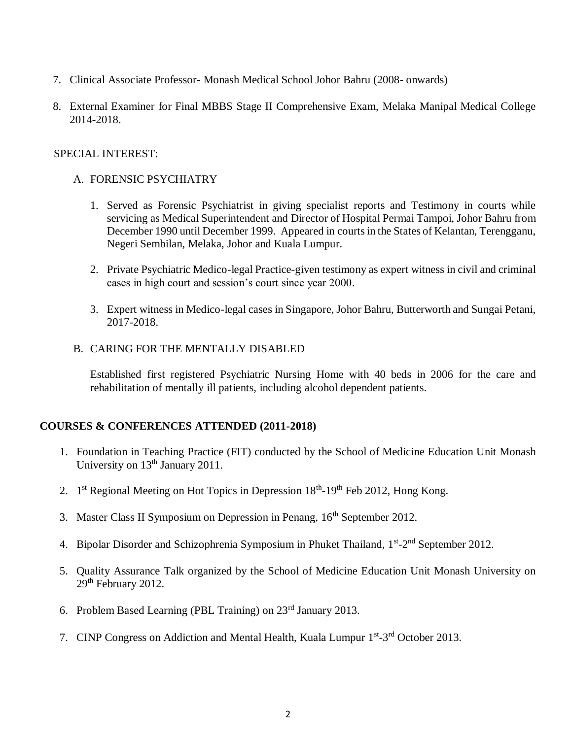- 7. Clinical Associate Professor- Monash Medical School Johor Bahru (2008- onwards)
- 8. External Examiner for Final MBBS Stage II Comprehensive Exam, Melaka Manipal Medical College 2014-2018.

### SPECIAL INTEREST:

## A. FORENSIC PSYCHIATRY

- 1. Served as Forensic Psychiatrist in giving specialist reports and Testimony in courts while servicing as Medical Superintendent and Director of Hospital Permai Tampoi, Johor Bahru from December 1990 until December 1999. Appeared in courts in the States of Kelantan, Terengganu, Negeri Sembilan, Melaka, Johor and Kuala Lumpur.
- 2. Private Psychiatric Medico-legal Practice-given testimony as expert witness in civil and criminal cases in high court and session's court since year 2000.
- 3. Expert witness in Medico-legal cases in Singapore, Johor Bahru, Butterworth and Sungai Petani, 2017-2018.
- B. CARING FOR THE MENTALLY DISABLED

Established first registered Psychiatric Nursing Home with 40 beds in 2006 for the care and rehabilitation of mentally ill patients, including alcohol dependent patients.

#### **COURSES & CONFERENCES ATTENDED (2011-2018)**

- 1. Foundation in Teaching Practice (FIT) conducted by the School of Medicine Education Unit Monash University on 13<sup>th</sup> January 2011.
- 2. 1<sup>st</sup> Regional Meeting on Hot Topics in Depression 18<sup>th</sup>-19<sup>th</sup> Feb 2012, Hong Kong.
- 3. Master Class II Symposium on Depression in Penang, 16<sup>th</sup> September 2012.
- 4. Bipolar Disorder and Schizophrenia Symposium in Phuket Thailand, 1<sup>st</sup>-2<sup>nd</sup> September 2012.
- 5. Quality Assurance Talk organized by the School of Medicine Education Unit Monash University on 29<sup>th</sup> February 2012.
- 6. Problem Based Learning (PBL Training) on 23rd January 2013.
- 7. CINP Congress on Addiction and Mental Health, Kuala Lumpur 1<sup>st</sup>-3<sup>rd</sup> October 2013.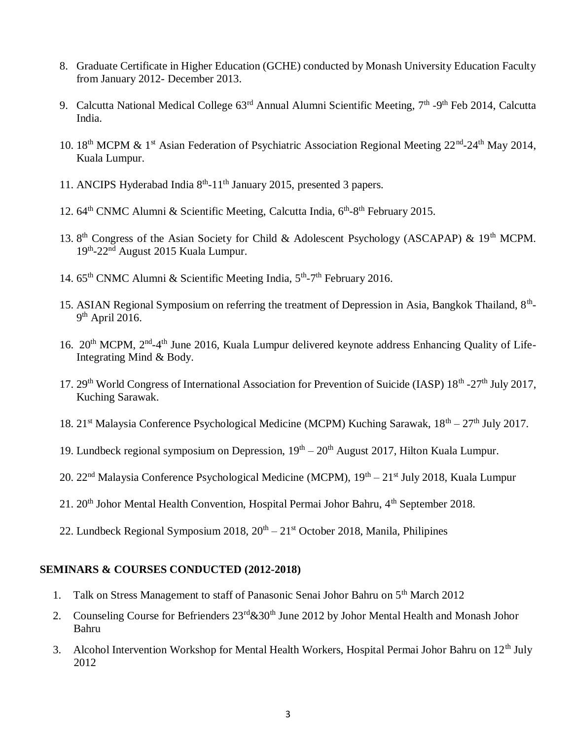- 8. Graduate Certificate in Higher Education (GCHE) conducted by Monash University Education Faculty from January 2012- December 2013.
- 9. Calcutta National Medical College 63<sup>rd</sup> Annual Alumni Scientific Meeting, 7<sup>th</sup> -9<sup>th</sup> Feb 2014, Calcutta India.
- 10. 18<sup>th</sup> MCPM & 1<sup>st</sup> Asian Federation of Psychiatric Association Regional Meeting 22<sup>nd</sup>-24<sup>th</sup> May 2014, Kuala Lumpur.
- 11. ANCIPS Hyderabad India 8<sup>th</sup>-11<sup>th</sup> January 2015, presented 3 papers.
- 12. 64<sup>th</sup> CNMC Alumni & Scientific Meeting, Calcutta India, 6<sup>th</sup>-8<sup>th</sup> February 2015.
- 13. 8<sup>th</sup> Congress of the Asian Society for Child & Adolescent Psychology (ASCAPAP) & 19<sup>th</sup> MCPM. 19<sup>th</sup>-22<sup>nd</sup> August 2015 Kuala Lumpur.
- 14. 65<sup>th</sup> CNMC Alumni & Scientific Meeting India, 5<sup>th</sup>-7<sup>th</sup> February 2016.
- 15. ASIAN Regional Symposium on referring the treatment of Depression in Asia, Bangkok Thailand, 8<sup>th</sup>- $9<sup>th</sup>$  April 2016.
- 16. 20<sup>th</sup> MCPM, 2<sup>nd</sup>-4<sup>th</sup> June 2016, Kuala Lumpur delivered keynote address Enhancing Quality of Life-Integrating Mind & Body.
- 17. 29<sup>th</sup> World Congress of International Association for Prevention of Suicide (IASP) 18<sup>th</sup> -27<sup>th</sup> July 2017, Kuching Sarawak.
- 18. 21<sup>st</sup> Malaysia Conference Psychological Medicine (MCPM) Kuching Sarawak, 18<sup>th</sup> 27<sup>th</sup> July 2017.
- 19. Lundbeck regional symposium on Depression,  $19<sup>th</sup> 20<sup>th</sup>$  August 2017, Hilton Kuala Lumpur.
- 20. 22<sup>nd</sup> Malaysia Conference Psychological Medicine (MCPM), 19<sup>th</sup> 21<sup>st</sup> July 2018, Kuala Lumpur
- 21. 20<sup>th</sup> Johor Mental Health Convention, Hospital Permai Johor Bahru, 4<sup>th</sup> September 2018.
- 22. Lundbeck Regional Symposium 2018,  $20^{th} 21^{st}$  October 2018, Manila, Philipines

#### **SEMINARS & COURSES CONDUCTED (2012-2018)**

- 1. Talk on Stress Management to staff of Panasonic Senai Johor Bahru on 5<sup>th</sup> March 2012
- 2. Counseling Course for Befrienders  $23^{\text{rd}}$ &30<sup>th</sup> June 2012 by Johor Mental Health and Monash Johor Bahru
- 3. Alcohol Intervention Workshop for Mental Health Workers, Hospital Permai Johor Bahru on 12<sup>th</sup> July 2012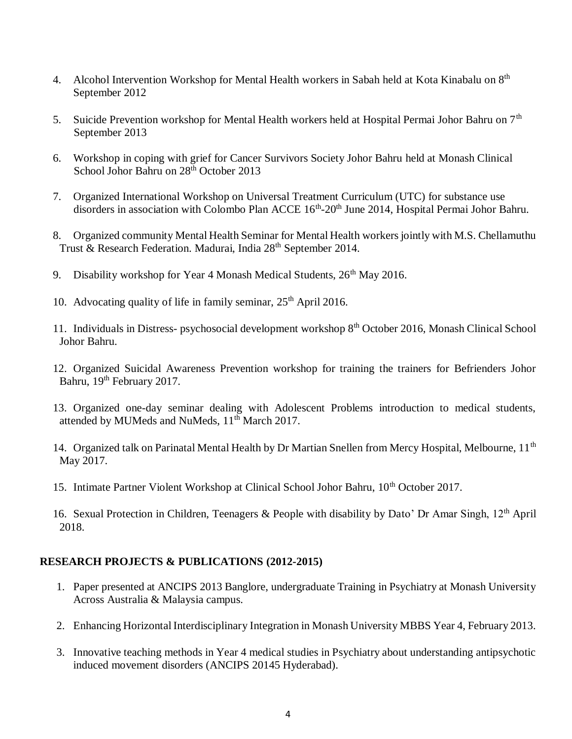- 4. Alcohol Intervention Workshop for Mental Health workers in Sabah held at Kota Kinabalu on 8<sup>th</sup> September 2012
- 5. Suicide Prevention workshop for Mental Health workers held at Hospital Permai Johor Bahru on 7<sup>th</sup> September 2013
- 6. Workshop in coping with grief for Cancer Survivors Society Johor Bahru held at Monash Clinical School Johor Bahru on 28<sup>th</sup> October 2013
- 7. Organized International Workshop on Universal Treatment Curriculum (UTC) for substance use disorders in association with Colombo Plan ACCE 16<sup>th</sup>-20<sup>th</sup> June 2014, Hospital Permai Johor Bahru.
- 8. Organized community Mental Health Seminar for Mental Health workers jointly with M.S. Chellamuthu Trust & Research Federation. Madurai, India 28<sup>th</sup> September 2014.
- 9. Disability workshop for Year 4 Monash Medical Students,  $26<sup>th</sup>$  May 2016.
- 10. Advocating quality of life in family seminar,  $25<sup>th</sup>$  April 2016.
- 11. Individuals in Distress- psychosocial development workshop 8th October 2016, Monash Clinical School Johor Bahru.
- 12. Organized Suicidal Awareness Prevention workshop for training the trainers for Befrienders Johor Bahru, 19<sup>th</sup> February 2017.
- 13. Organized one-day seminar dealing with Adolescent Problems introduction to medical students, attended by MUMeds and NuMeds, 11<sup>th</sup> March 2017.
- 14. Organized talk on Parinatal Mental Health by Dr Martian Snellen from Mercy Hospital, Melbourne, 11<sup>th</sup> May 2017.
- 15. Intimate Partner Violent Workshop at Clinical School Johor Bahru, 10<sup>th</sup> October 2017.
- 16. Sexual Protection in Children, Teenagers & People with disability by Dato' Dr Amar Singh,  $12<sup>th</sup>$  April 2018.

#### **RESEARCH PROJECTS & PUBLICATIONS (2012-2015)**

- 1. Paper presented at ANCIPS 2013 Banglore, undergraduate Training in Psychiatry at Monash University Across Australia & Malaysia campus.
- 2. Enhancing Horizontal Interdisciplinary Integration in Monash University MBBS Year 4, February 2013.
- 3. Innovative teaching methods in Year 4 medical studies in Psychiatry about understanding antipsychotic induced movement disorders (ANCIPS 20145 Hyderabad).